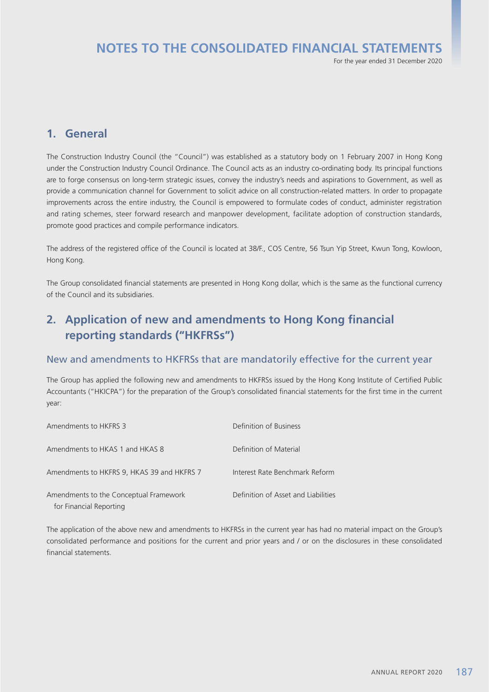# **NOTES TO THE CONSOLIDATED FINANCIAL STATEMENTS**

For the year ended 31 December 2020

## **1. General**

The Construction Industry Council (the "Council") was established as a statutory body on 1 February 2007 in Hong Kong under the Construction Industry Council Ordinance. The Council acts as an industry co-ordinating body. Its principal functions are to forge consensus on long-term strategic issues, convey the industry's needs and aspirations to Government, as well as provide a communication channel for Government to solicit advice on all construction-related matters. In order to propagate improvements across the entire industry, the Council is empowered to formulate codes of conduct, administer registration and rating schemes, steer forward research and manpower development, facilitate adoption of construction standards, promote good practices and compile performance indicators.

The address of the registered office of the Council is located at 38/F., COS Centre, 56 Tsun Yip Street, Kwun Tong, Kowloon, Hong Kong.

The Group consolidated financial statements are presented in Hong Kong dollar, which is the same as the functional currency of the Council and its subsidiaries.

# **2. Application of new and amendments to Hong Kong financial reporting standards ("HKFRSs")**

### New and amendments to HKFRSs that are mandatorily effective for the current year

The Group has applied the following new and amendments to HKFRSs issued by the Hong Kong Institute of Certified Public Accountants ("HKICPA") for the preparation of the Group's consolidated financial statements for the first time in the current year:

| Amendments to HKFRS 3                                             | Definition of Business              |
|-------------------------------------------------------------------|-------------------------------------|
| Amendments to HKAS 1 and HKAS 8                                   | Definition of Material              |
| Amendments to HKFRS 9, HKAS 39 and HKFRS 7                        | Interest Rate Benchmark Reform      |
| Amendments to the Conceptual Framework<br>for Financial Reporting | Definition of Asset and Liabilities |

The application of the above new and amendments to HKFRSs in the current year has had no material impact on the Group's consolidated performance and positions for the current and prior years and / or on the disclosures in these consolidated financial statements.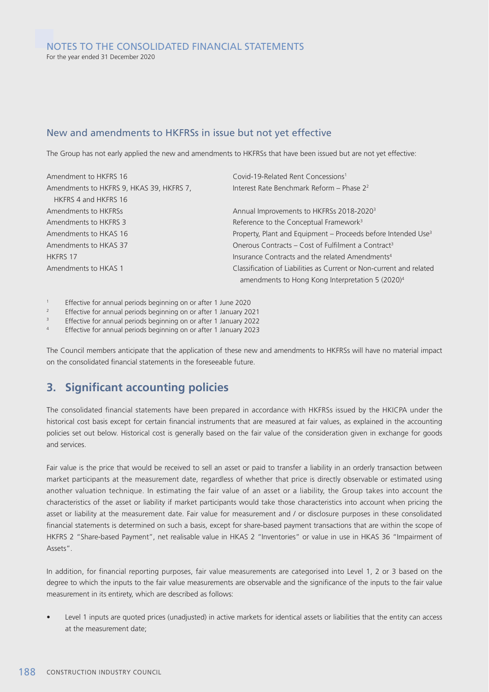### New and amendments to HKFRSs in issue but not yet effective

The Group has not early applied the new and amendments to HKFRSs that have been issued but are not yet effective:

| Amendment to HKFRS 16                    | Covid-19-Related Rent Concessions <sup>1</sup>                            |
|------------------------------------------|---------------------------------------------------------------------------|
| Amendments to HKFRS 9, HKAS 39, HKFRS 7, | Interest Rate Benchmark Reform - Phase 2 <sup>2</sup>                     |
| HKFRS 4 and HKFRS 16                     |                                                                           |
| Amendments to HKFRSs                     | Annual Improvements to HKFRSs 2018-2020 <sup>3</sup>                      |
| Amendments to HKFRS 3                    | Reference to the Conceptual Framework <sup>3</sup>                        |
| Amendments to HKAS 16                    | Property, Plant and Equipment - Proceeds before Intended Use <sup>3</sup> |
| Amendments to HKAS 37                    | Onerous Contracts - Cost of Fulfilment a Contract <sup>3</sup>            |
| <b>HKFRS 17</b>                          | Insurance Contracts and the related Amendments <sup>4</sup>               |
| Amendments to HKAS 1                     | Classification of Liabilities as Current or Non-current and related       |
|                                          | amendments to Hong Kong Interpretation 5 (2020) <sup>4</sup>              |

<sup>1</sup> Effective for annual periods beginning on or after 1 June 2020<br>Ffective for annual periods beginning on or after 1 January 20

<sup>2</sup> Effective for annual periods beginning on or after 1 January 2021

<sup>3</sup> Effective for annual periods beginning on or after 1 January 2022

<sup>4</sup> Effective for annual periods beginning on or after 1 January 2023

The Council members anticipate that the application of these new and amendments to HKFRSs will have no material impact on the consolidated financial statements in the foreseeable future.

# **3. Significant accounting policies**

The consolidated financial statements have been prepared in accordance with HKFRSs issued by the HKICPA under the historical cost basis except for certain financial instruments that are measured at fair values, as explained in the accounting policies set out below. Historical cost is generally based on the fair value of the consideration given in exchange for goods and services.

Fair value is the price that would be received to sell an asset or paid to transfer a liability in an orderly transaction between market participants at the measurement date, regardless of whether that price is directly observable or estimated using another valuation technique. In estimating the fair value of an asset or a liability, the Group takes into account the characteristics of the asset or liability if market participants would take those characteristics into account when pricing the asset or liability at the measurement date. Fair value for measurement and / or disclosure purposes in these consolidated financial statements is determined on such a basis, except for share-based payment transactions that are within the scope of HKFRS 2 "Share-based Payment", net realisable value in HKAS 2 "Inventories" or value in use in HKAS 36 "Impairment of Assets".

In addition, for financial reporting purposes, fair value measurements are categorised into Level 1, 2 or 3 based on the degree to which the inputs to the fair value measurements are observable and the significance of the inputs to the fair value measurement in its entirety, which are described as follows:

Level 1 inputs are quoted prices (unadjusted) in active markets for identical assets or liabilities that the entity can access at the measurement date;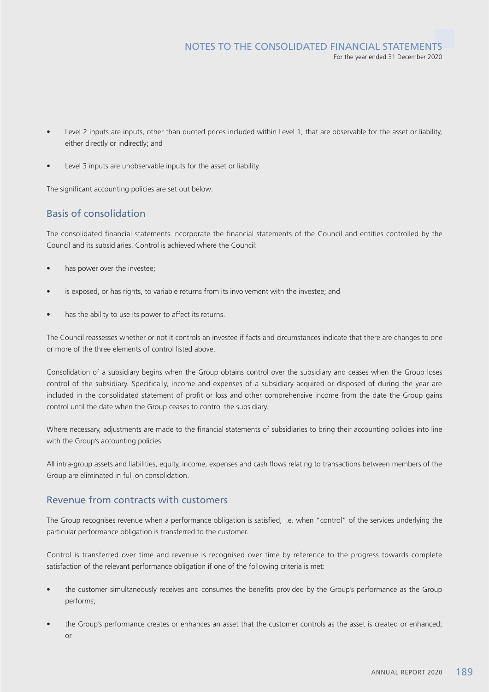- Level 2 inputs are inputs, other than quoted prices included within Level 1, that are observable for the asset or liability, either directly or indirectly; and
- Level 3 inputs are unobservable inputs for the asset or liability.

The significant accounting policies are set out below:

## Basis of consolidation

The consolidated financial statements incorporate the financial statements of the Council and entities controlled by the Council and its subsidiaries. Control is achieved where the Council:

- has power over the investee;
- is exposed, or has rights, to variable returns from its involvement with the investee; and
- has the ability to use its power to affect its returns.

The Council reassesses whether or not it controls an investee if facts and circumstances indicate that there are changes to one or more of the three elements of control listed above.

Consolidation of a subsidiary begins when the Group obtains control over the subsidiary and ceases when the Group loses control of the subsidiary. Specifically, income and expenses of a subsidiary acquired or disposed of during the year are included in the consolidated statement of profit or loss and other comprehensive income from the date the Group gains control until the date when the Group ceases to control the subsidiary.

Where necessary, adjustments are made to the financial statements of subsidiaries to bring their accounting policies into line with the Group's accounting policies.

All intra-group assets and liabilities, equity, income, expenses and cash flows relating to transactions between members of the Group are eliminated in full on consolidation.

### Revenue from contracts with customers

The Group recognises revenue when a performance obligation is satisfied, i.e. when "control" of the services underlying the particular performance obligation is transferred to the customer.

Control is transferred over time and revenue is recognised over time by reference to the progress towards complete satisfaction of the relevant performance obligation if one of the following criteria is met:

- the customer simultaneously receives and consumes the benefits provided by the Group's performance as the Group performs;
- the Group's performance creates or enhances an asset that the customer controls as the asset is created or enhanced; or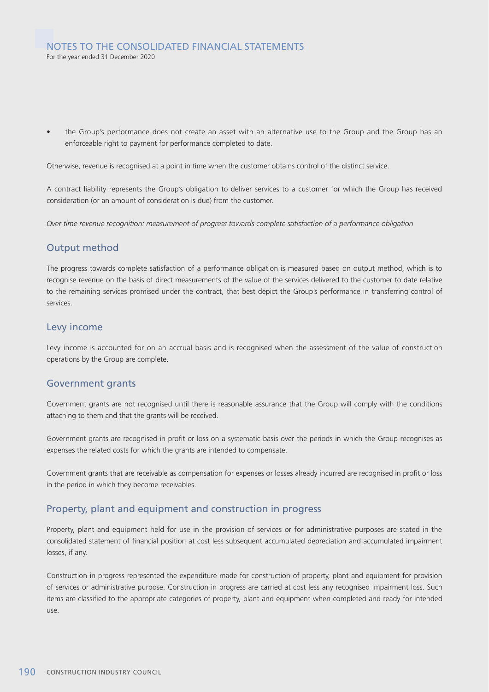the Group's performance does not create an asset with an alternative use to the Group and the Group has an enforceable right to payment for performance completed to date.

Otherwise, revenue is recognised at a point in time when the customer obtains control of the distinct service.

A contract liability represents the Group's obligation to deliver services to a customer for which the Group has received consideration (or an amount of consideration is due) from the customer.

*Over time revenue recognition: measurement of progress towards complete satisfaction of a performance obligation*

### Output method

The progress towards complete satisfaction of a performance obligation is measured based on output method, which is to recognise revenue on the basis of direct measurements of the value of the services delivered to the customer to date relative to the remaining services promised under the contract, that best depict the Group's performance in transferring control of services.

### Levy income

Levy income is accounted for on an accrual basis and is recognised when the assessment of the value of construction operations by the Group are complete.

### Government grants

Government grants are not recognised until there is reasonable assurance that the Group will comply with the conditions attaching to them and that the grants will be received.

Government grants are recognised in profit or loss on a systematic basis over the periods in which the Group recognises as expenses the related costs for which the grants are intended to compensate.

Government grants that are receivable as compensation for expenses or losses already incurred are recognised in profit or loss in the period in which they become receivables.

### Property, plant and equipment and construction in progress

Property, plant and equipment held for use in the provision of services or for administrative purposes are stated in the consolidated statement of financial position at cost less subsequent accumulated depreciation and accumulated impairment losses, if any.

Construction in progress represented the expenditure made for construction of property, plant and equipment for provision of services or administrative purpose. Construction in progress are carried at cost less any recognised impairment loss. Such items are classified to the appropriate categories of property, plant and equipment when completed and ready for intended use.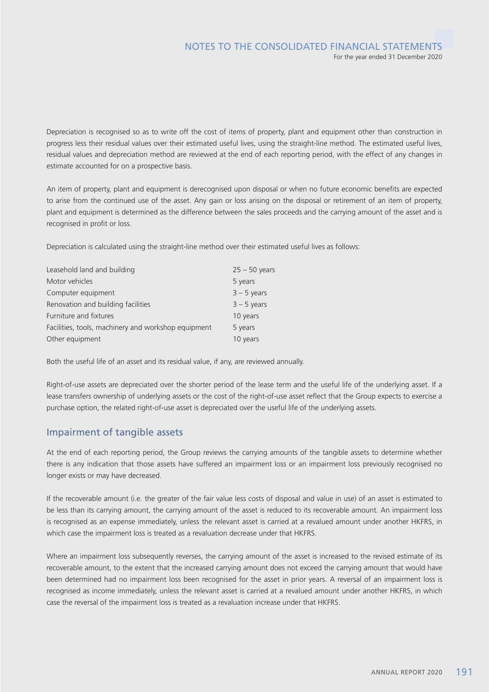Depreciation is recognised so as to write off the cost of items of property, plant and equipment other than construction in progress less their residual values over their estimated useful lives, using the straight-line method. The estimated useful lives, residual values and depreciation method are reviewed at the end of each reporting period, with the effect of any changes in estimate accounted for on a prospective basis.

An item of property, plant and equipment is derecognised upon disposal or when no future economic benefits are expected to arise from the continued use of the asset. Any gain or loss arising on the disposal or retirement of an item of property, plant and equipment is determined as the difference between the sales proceeds and the carrying amount of the asset and is recognised in profit or loss.

Depreciation is calculated using the straight-line method over their estimated useful lives as follows:

| Leasehold land and building                         | $25 - 50$ years |
|-----------------------------------------------------|-----------------|
| Motor vehicles                                      | 5 years         |
| Computer equipment                                  | $3 - 5$ years   |
| Renovation and building facilities                  | $3 - 5$ years   |
| Furniture and fixtures                              | 10 years        |
| Facilities, tools, machinery and workshop equipment | 5 years         |
| Other equipment                                     | 10 years        |

Both the useful life of an asset and its residual value, if any, are reviewed annually.

Right-of-use assets are depreciated over the shorter period of the lease term and the useful life of the underlying asset. If a lease transfers ownership of underlying assets or the cost of the right-of-use asset reflect that the Group expects to exercise a purchase option, the related right-of-use asset is depreciated over the useful life of the underlying assets.

### Impairment of tangible assets

At the end of each reporting period, the Group reviews the carrying amounts of the tangible assets to determine whether there is any indication that those assets have suffered an impairment loss or an impairment loss previously recognised no longer exists or may have decreased.

If the recoverable amount (i.e. the greater of the fair value less costs of disposal and value in use) of an asset is estimated to be less than its carrying amount, the carrying amount of the asset is reduced to its recoverable amount. An impairment loss is recognised as an expense immediately, unless the relevant asset is carried at a revalued amount under another HKFRS, in which case the impairment loss is treated as a revaluation decrease under that HKFRS.

Where an impairment loss subsequently reverses, the carrying amount of the asset is increased to the revised estimate of its recoverable amount, to the extent that the increased carrying amount does not exceed the carrying amount that would have been determined had no impairment loss been recognised for the asset in prior years. A reversal of an impairment loss is recognised as income immediately, unless the relevant asset is carried at a revalued amount under another HKFRS, in which case the reversal of the impairment loss is treated as a revaluation increase under that HKFRS.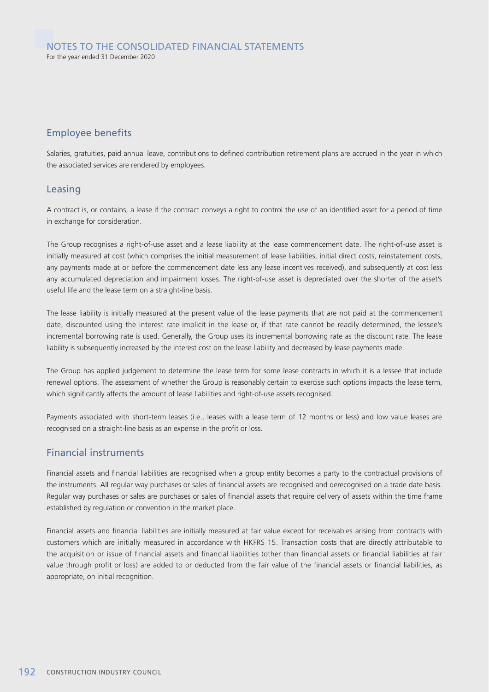## Employee benefits

Salaries, gratuities, paid annual leave, contributions to defined contribution retirement plans are accrued in the year in which the associated services are rendered by employees.

### Leasing

A contract is, or contains, a lease if the contract conveys a right to control the use of an identified asset for a period of time in exchange for consideration.

The Group recognises a right-of-use asset and a lease liability at the lease commencement date. The right-of-use asset is initially measured at cost (which comprises the initial measurement of lease liabilities, initial direct costs, reinstatement costs, any payments made at or before the commencement date less any lease incentives received), and subsequently at cost less any accumulated depreciation and impairment losses. The right-of-use asset is depreciated over the shorter of the asset's useful life and the lease term on a straight-line basis.

The lease liability is initially measured at the present value of the lease payments that are not paid at the commencement date, discounted using the interest rate implicit in the lease or, if that rate cannot be readily determined, the lessee's incremental borrowing rate is used. Generally, the Group uses its incremental borrowing rate as the discount rate. The lease liability is subsequently increased by the interest cost on the lease liability and decreased by lease payments made.

The Group has applied judgement to determine the lease term for some lease contracts in which it is a lessee that include renewal options. The assessment of whether the Group is reasonably certain to exercise such options impacts the lease term, which significantly affects the amount of lease liabilities and right-of-use assets recognised.

Payments associated with short-term leases (i.e., leases with a lease term of 12 months or less) and low value leases are recognised on a straight-line basis as an expense in the profit or loss.

### Financial instruments

Financial assets and financial liabilities are recognised when a group entity becomes a party to the contractual provisions of the instruments. All regular way purchases or sales of financial assets are recognised and derecognised on a trade date basis. Regular way purchases or sales are purchases or sales of financial assets that require delivery of assets within the time frame established by regulation or convention in the market place.

Financial assets and financial liabilities are initially measured at fair value except for receivables arising from contracts with customers which are initially measured in accordance with HKFRS 15. Transaction costs that are directly attributable to the acquisition or issue of financial assets and financial liabilities (other than financial assets or financial liabilities at fair value through profit or loss) are added to or deducted from the fair value of the financial assets or financial liabilities, as appropriate, on initial recognition.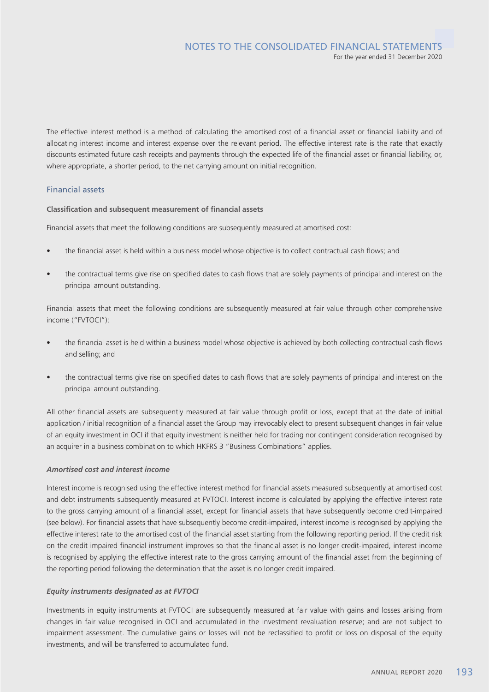The effective interest method is a method of calculating the amortised cost of a financial asset or financial liability and of allocating interest income and interest expense over the relevant period. The effective interest rate is the rate that exactly discounts estimated future cash receipts and payments through the expected life of the financial asset or financial liability, or, where appropriate, a shorter period, to the net carrying amount on initial recognition.

### Financial assets

**Classification and subsequent measurement of financial assets**

Financial assets that meet the following conditions are subsequently measured at amortised cost:

- the financial asset is held within a business model whose objective is to collect contractual cash flows; and
- the contractual terms give rise on specified dates to cash flows that are solely payments of principal and interest on the principal amount outstanding.

Financial assets that meet the following conditions are subsequently measured at fair value through other comprehensive income ("FVTOCI"):

- the financial asset is held within a business model whose objective is achieved by both collecting contractual cash flows and selling; and
- the contractual terms give rise on specified dates to cash flows that are solely payments of principal and interest on the principal amount outstanding.

All other financial assets are subsequently measured at fair value through profit or loss, except that at the date of initial application / initial recognition of a financial asset the Group may irrevocably elect to present subsequent changes in fair value of an equity investment in OCI if that equity investment is neither held for trading nor contingent consideration recognised by an acquirer in a business combination to which HKFRS 3 "Business Combinations" applies.

#### *Amortised cost and interest income*

Interest income is recognised using the effective interest method for financial assets measured subsequently at amortised cost and debt instruments subsequently measured at FVTOCI. Interest income is calculated by applying the effective interest rate to the gross carrying amount of a financial asset, except for financial assets that have subsequently become credit-impaired (see below). For financial assets that have subsequently become credit-impaired, interest income is recognised by applying the effective interest rate to the amortised cost of the financial asset starting from the following reporting period. If the credit risk on the credit impaired financial instrument improves so that the financial asset is no longer credit-impaired, interest income is recognised by applying the effective interest rate to the gross carrying amount of the financial asset from the beginning of the reporting period following the determination that the asset is no longer credit impaired.

### *Equity instruments designated as at FVTOCI*

Investments in equity instruments at FVTOCI are subsequently measured at fair value with gains and losses arising from changes in fair value recognised in OCI and accumulated in the investment revaluation reserve; and are not subject to impairment assessment. The cumulative gains or losses will not be reclassified to profit or loss on disposal of the equity investments, and will be transferred to accumulated fund.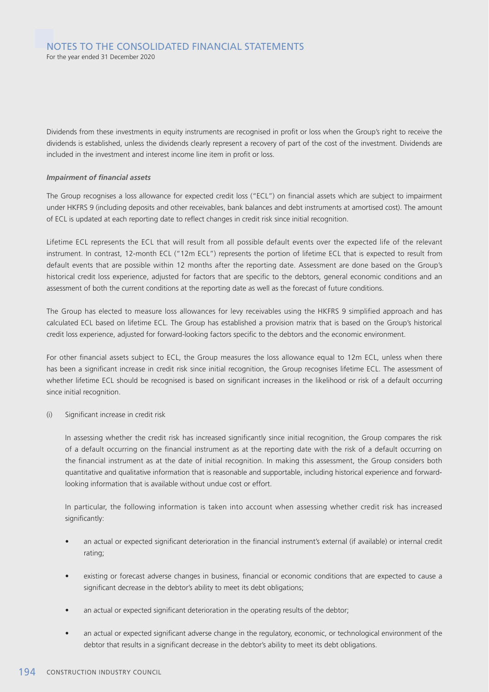Dividends from these investments in equity instruments are recognised in profit or loss when the Group's right to receive the dividends is established, unless the dividends clearly represent a recovery of part of the cost of the investment. Dividends are included in the investment and interest income line item in profit or loss.

#### *Impairment of financial assets*

The Group recognises a loss allowance for expected credit loss ("ECL") on financial assets which are subject to impairment under HKFRS 9 (including deposits and other receivables, bank balances and debt instruments at amortised cost). The amount of ECL is updated at each reporting date to reflect changes in credit risk since initial recognition.

Lifetime ECL represents the ECL that will result from all possible default events over the expected life of the relevant instrument. In contrast, 12-month ECL ("12m ECL") represents the portion of lifetime ECL that is expected to result from default events that are possible within 12 months after the reporting date. Assessment are done based on the Group's historical credit loss experience, adjusted for factors that are specific to the debtors, general economic conditions and an assessment of both the current conditions at the reporting date as well as the forecast of future conditions.

The Group has elected to measure loss allowances for levy receivables using the HKFRS 9 simplified approach and has calculated ECL based on lifetime ECL. The Group has established a provision matrix that is based on the Group's historical credit loss experience, adjusted for forward-looking factors specific to the debtors and the economic environment.

For other financial assets subject to ECL, the Group measures the loss allowance equal to 12m ECL, unless when there has been a significant increase in credit risk since initial recognition, the Group recognises lifetime ECL. The assessment of whether lifetime ECL should be recognised is based on significant increases in the likelihood or risk of a default occurring since initial recognition.

(i) Significant increase in credit risk

In assessing whether the credit risk has increased significantly since initial recognition, the Group compares the risk of a default occurring on the financial instrument as at the reporting date with the risk of a default occurring on the financial instrument as at the date of initial recognition. In making this assessment, the Group considers both quantitative and qualitative information that is reasonable and supportable, including historical experience and forwardlooking information that is available without undue cost or effort.

In particular, the following information is taken into account when assessing whether credit risk has increased significantly:

- an actual or expected significant deterioration in the financial instrument's external (if available) or internal credit rating;
- existing or forecast adverse changes in business, financial or economic conditions that are expected to cause a significant decrease in the debtor's ability to meet its debt obligations;
- an actual or expected significant deterioration in the operating results of the debtor;
- an actual or expected significant adverse change in the regulatory, economic, or technological environment of the debtor that results in a significant decrease in the debtor's ability to meet its debt obligations.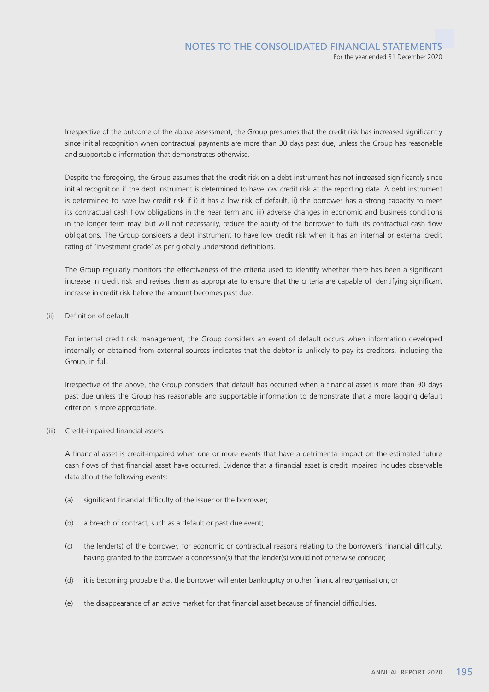Irrespective of the outcome of the above assessment, the Group presumes that the credit risk has increased significantly since initial recognition when contractual payments are more than 30 days past due, unless the Group has reasonable and supportable information that demonstrates otherwise.

Despite the foregoing, the Group assumes that the credit risk on a debt instrument has not increased significantly since initial recognition if the debt instrument is determined to have low credit risk at the reporting date. A debt instrument is determined to have low credit risk if i) it has a low risk of default, ii) the borrower has a strong capacity to meet its contractual cash flow obligations in the near term and iii) adverse changes in economic and business conditions in the longer term may, but will not necessarily, reduce the ability of the borrower to fulfil its contractual cash flow obligations. The Group considers a debt instrument to have low credit risk when it has an internal or external credit rating of 'investment grade' as per globally understood definitions.

The Group regularly monitors the effectiveness of the criteria used to identify whether there has been a significant increase in credit risk and revises them as appropriate to ensure that the criteria are capable of identifying significant increase in credit risk before the amount becomes past due.

(ii) Definition of default

For internal credit risk management, the Group considers an event of default occurs when information developed internally or obtained from external sources indicates that the debtor is unlikely to pay its creditors, including the Group, in full.

Irrespective of the above, the Group considers that default has occurred when a financial asset is more than 90 days past due unless the Group has reasonable and supportable information to demonstrate that a more lagging default criterion is more appropriate.

(iii) Credit-impaired financial assets

A financial asset is credit-impaired when one or more events that have a detrimental impact on the estimated future cash flows of that financial asset have occurred. Evidence that a financial asset is credit impaired includes observable data about the following events:

- (a) significant financial difficulty of the issuer or the borrower;
- (b) a breach of contract, such as a default or past due event;
- (c) the lender(s) of the borrower, for economic or contractual reasons relating to the borrower's financial difficulty, having granted to the borrower a concession(s) that the lender(s) would not otherwise consider;
- (d) it is becoming probable that the borrower will enter bankruptcy or other financial reorganisation; or
- (e) the disappearance of an active market for that financial asset because of financial difficulties.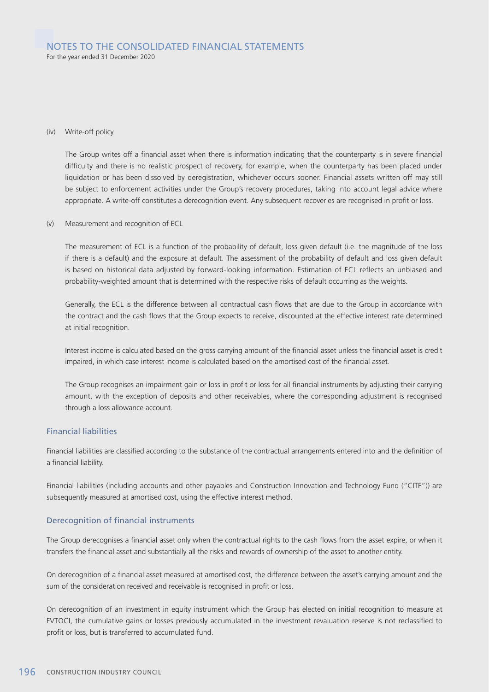#### NOTES TO THE CONSOLIDATED FINANCIAL STATEMENTS For the year ended 31 December 2020

#### (iv) Write-off policy

The Group writes off a financial asset when there is information indicating that the counterparty is in severe financial difficulty and there is no realistic prospect of recovery, for example, when the counterparty has been placed under liquidation or has been dissolved by deregistration, whichever occurs sooner. Financial assets written off may still be subject to enforcement activities under the Group's recovery procedures, taking into account legal advice where appropriate. A write-off constitutes a derecognition event. Any subsequent recoveries are recognised in profit or loss.

#### (v) Measurement and recognition of ECL

The measurement of ECL is a function of the probability of default, loss given default (i.e. the magnitude of the loss if there is a default) and the exposure at default. The assessment of the probability of default and loss given default is based on historical data adjusted by forward-looking information. Estimation of ECL reflects an unbiased and probability-weighted amount that is determined with the respective risks of default occurring as the weights.

Generally, the ECL is the difference between all contractual cash flows that are due to the Group in accordance with the contract and the cash flows that the Group expects to receive, discounted at the effective interest rate determined at initial recognition.

Interest income is calculated based on the gross carrying amount of the financial asset unless the financial asset is credit impaired, in which case interest income is calculated based on the amortised cost of the financial asset.

The Group recognises an impairment gain or loss in profit or loss for all financial instruments by adjusting their carrying amount, with the exception of deposits and other receivables, where the corresponding adjustment is recognised through a loss allowance account.

#### Financial liabilities

Financial liabilities are classified according to the substance of the contractual arrangements entered into and the definition of a financial liability.

Financial liabilities (including accounts and other payables and Construction Innovation and Technology Fund ("CITF")) are subsequently measured at amortised cost, using the effective interest method.

#### Derecognition of financial instruments

The Group derecognises a financial asset only when the contractual rights to the cash flows from the asset expire, or when it transfers the financial asset and substantially all the risks and rewards of ownership of the asset to another entity.

On derecognition of a financial asset measured at amortised cost, the difference between the asset's carrying amount and the sum of the consideration received and receivable is recognised in profit or loss.

On derecognition of an investment in equity instrument which the Group has elected on initial recognition to measure at FVTOCI, the cumulative gains or losses previously accumulated in the investment revaluation reserve is not reclassified to profit or loss, but is transferred to accumulated fund.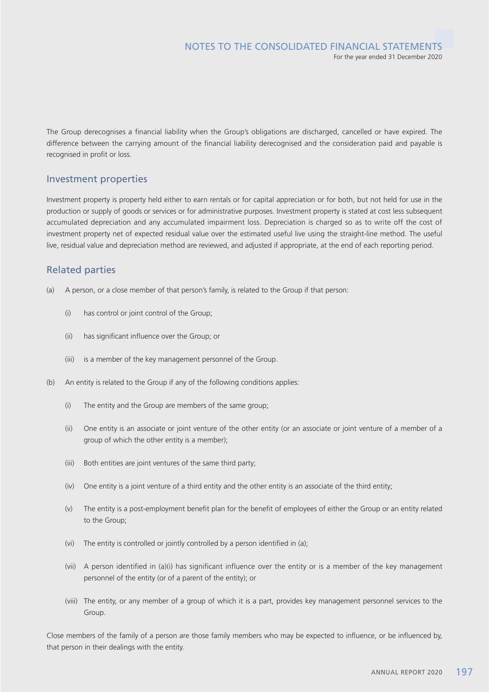The Group derecognises a financial liability when the Group's obligations are discharged, cancelled or have expired. The difference between the carrying amount of the financial liability derecognised and the consideration paid and payable is recognised in profit or loss.

### Investment properties

Investment property is property held either to earn rentals or for capital appreciation or for both, but not held for use in the production or supply of goods or services or for administrative purposes. Investment property is stated at cost less subsequent accumulated depreciation and any accumulated impairment loss. Depreciation is charged so as to write off the cost of investment property net of expected residual value over the estimated useful live using the straight-line method. The useful live, residual value and depreciation method are reviewed, and adjusted if appropriate, at the end of each reporting period.

### Related parties

- (a) A person, or a close member of that person's family, is related to the Group if that person:
	- (i) has control or joint control of the Group;
	- (ii) has significant influence over the Group; or
	- (iii) is a member of the key management personnel of the Group.
- (b) An entity is related to the Group if any of the following conditions applies:
	- (i) The entity and the Group are members of the same group;
	- (ii) One entity is an associate or joint venture of the other entity (or an associate or joint venture of a member of a group of which the other entity is a member);
	- (iii) Both entities are joint ventures of the same third party;
	- (iv) One entity is a joint venture of a third entity and the other entity is an associate of the third entity;
	- (v) The entity is a post-employment benefit plan for the benefit of employees of either the Group or an entity related to the Group;
	- (vi) The entity is controlled or jointly controlled by a person identified in (a);
	- (vii) A person identified in (a)(i) has significant influence over the entity or is a member of the key management personnel of the entity (or of a parent of the entity); or
	- (viii) The entity, or any member of a group of which it is a part, provides key management personnel services to the Group.

Close members of the family of a person are those family members who may be expected to influence, or be influenced by, that person in their dealings with the entity.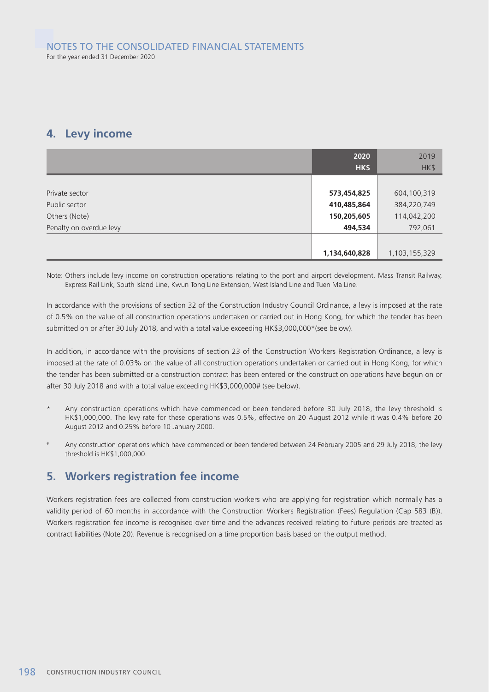## **4. Levy income**

|                         | 2020          | 2019          |
|-------------------------|---------------|---------------|
|                         | HK\$          | HK\$          |
|                         |               |               |
| Private sector          | 573,454,825   | 604,100,319   |
| Public sector           | 410,485,864   | 384,220,749   |
| Others (Note)           | 150,205,605   | 114,042,200   |
| Penalty on overdue levy | 494,534       | 792,061       |
|                         |               |               |
|                         | 1,134,640,828 | 1,103,155,329 |

Note: Others include levy income on construction operations relating to the port and airport development, Mass Transit Railway, Express Rail Link, South Island Line, Kwun Tong Line Extension, West Island Line and Tuen Ma Line.

In accordance with the provisions of section 32 of the Construction Industry Council Ordinance, a levy is imposed at the rate of 0.5% on the value of all construction operations undertaken or carried out in Hong Kong, for which the tender has been submitted on or after 30 July 2018, and with a total value exceeding HK\$3,000,000\*(see below).

In addition, in accordance with the provisions of section 23 of the Construction Workers Registration Ordinance, a levy is imposed at the rate of 0.03% on the value of all construction operations undertaken or carried out in Hong Kong, for which the tender has been submitted or a construction contract has been entered or the construction operations have begun on or after 30 July 2018 and with a total value exceeding HK\$3,000,000# (see below).

- \* Any construction operations which have commenced or been tendered before 30 July 2018, the levy threshold is HK\$1,000,000. The levy rate for these operations was 0.5%, effective on 20 August 2012 while it was 0.4% before 20 August 2012 and 0.25% before 10 January 2000.
- Any construction operations which have commenced or been tendered between 24 February 2005 and 29 July 2018, the levy threshold is HK\$1,000,000.

## **5. Workers registration fee income**

Workers registration fees are collected from construction workers who are applying for registration which normally has a validity period of 60 months in accordance with the Construction Workers Registration (Fees) Regulation (Cap 583 (B)). Workers registration fee income is recognised over time and the advances received relating to future periods are treated as contract liabilities (Note 20). Revenue is recognised on a time proportion basis based on the output method.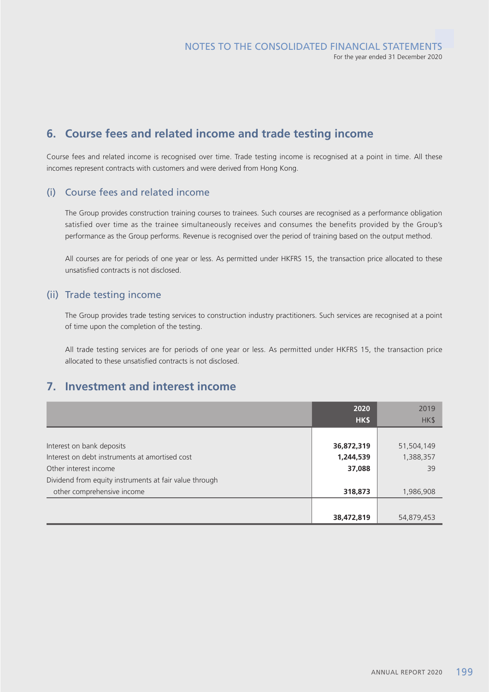## **6. Course fees and related income and trade testing income**

Course fees and related income is recognised over time. Trade testing income is recognised at a point in time. All these incomes represent contracts with customers and were derived from Hong Kong.

### (i) Course fees and related income

The Group provides construction training courses to trainees. Such courses are recognised as a performance obligation satisfied over time as the trainee simultaneously receives and consumes the benefits provided by the Group's performance as the Group performs. Revenue is recognised over the period of training based on the output method.

All courses are for periods of one year or less. As permitted under HKFRS 15, the transaction price allocated to these unsatisfied contracts is not disclosed.

### (ii) Trade testing income

The Group provides trade testing services to construction industry practitioners. Such services are recognised at a point of time upon the completion of the testing.

All trade testing services are for periods of one year or less. As permitted under HKFRS 15, the transaction price allocated to these unsatisfied contracts is not disclosed.

## **7. Investment and interest income**

|                                                        | 2020       | 2019       |
|--------------------------------------------------------|------------|------------|
|                                                        | HK\$       | HK\$       |
|                                                        |            |            |
| Interest on bank deposits                              | 36,872,319 | 51,504,149 |
| Interest on debt instruments at amortised cost         | 1,244,539  | 1,388,357  |
| Other interest income                                  | 37,088     | 39         |
| Dividend from equity instruments at fair value through |            |            |
| other comprehensive income                             | 318,873    | 1,986,908  |
|                                                        |            |            |
|                                                        | 38,472,819 | 54,879,453 |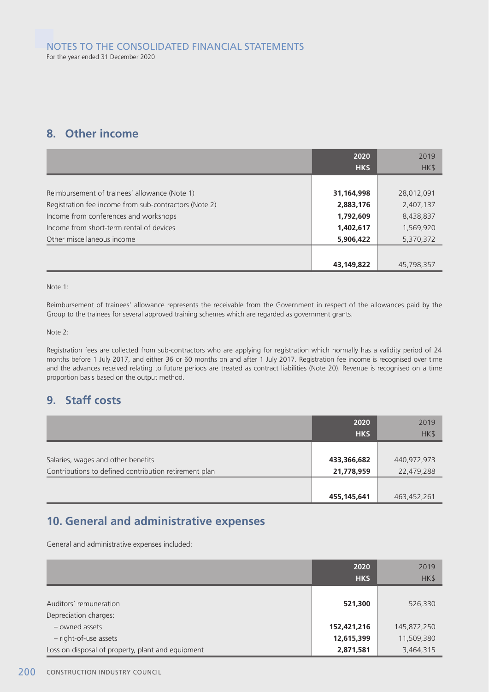## **8. Other income**

|                                                       | 2020<br>HK\$ | 2019<br>HK\$ |
|-------------------------------------------------------|--------------|--------------|
|                                                       |              |              |
| Reimbursement of trainees' allowance (Note 1)         | 31,164,998   | 28,012,091   |
| Registration fee income from sub-contractors (Note 2) | 2,883,176    | 2,407,137    |
| Income from conferences and workshops                 | 1,792,609    | 8,438,837    |
| Income from short-term rental of devices              | 1,402,617    | 1,569,920    |
| Other miscellaneous income                            | 5,906,422    | 5,370,372    |
|                                                       |              |              |
|                                                       | 43,149,822   | 45,798,357   |

Note 1:

Reimbursement of trainees' allowance represents the receivable from the Government in respect of the allowances paid by the Group to the trainees for several approved training schemes which are regarded as government grants.

Note 2:

Registration fees are collected from sub-contractors who are applying for registration which normally has a validity period of 24 months before 1 July 2017, and either 36 or 60 months on and after 1 July 2017. Registration fee income is recognised over time and the advances received relating to future periods are treated as contract liabilities (Note 20). Revenue is recognised on a time proportion basis based on the output method.

## **9. Staff costs**

|                                                                                             | 2020<br>HK\$              | 2019<br>HK\$              |
|---------------------------------------------------------------------------------------------|---------------------------|---------------------------|
| Salaries, wages and other benefits<br>Contributions to defined contribution retirement plan | 433,366,682<br>21,778,959 | 440,972,973<br>22,479,288 |
|                                                                                             | 455,145,641               | 463,452,261               |

## **10. General and administrative expenses**

General and administrative expenses included:

|                                                   | 2020<br>HK\$              | 2019<br>HK\$              |
|---------------------------------------------------|---------------------------|---------------------------|
| Auditors' remuneration<br>Depreciation charges:   | 521,300                   | 526,330                   |
| - owned assets<br>- right-of-use assets           | 152,421,216<br>12,615,399 | 145,872,250<br>11,509,380 |
| Loss on disposal of property, plant and equipment | 2,871,581                 | 3,464,315                 |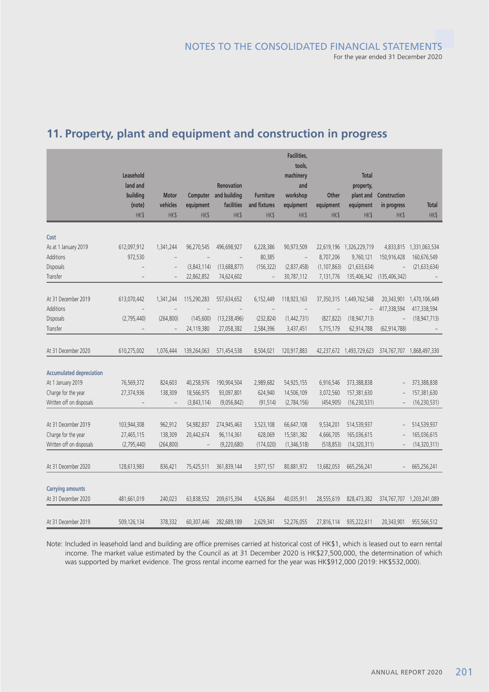|                                 | Leasehold<br>land and<br>building | <b>Motor</b>             | <b>Computer</b>          | Renovation<br>and building | <b>Furniture</b>            | Facilities,<br>tools,<br>machinery<br>and<br>workshop | <b>Other</b>             | Total<br>property,<br>plant and | Construction        |                             |
|---------------------------------|-----------------------------------|--------------------------|--------------------------|----------------------------|-----------------------------|-------------------------------------------------------|--------------------------|---------------------------------|---------------------|-----------------------------|
|                                 | (note)<br><b>HK\$</b>             | vehicles<br><b>HK\$</b>  | equipment<br><b>HK\$</b> | facilities<br><b>HK\$</b>  | and fixtures<br><b>HK\$</b> | equipment<br><b>HK\$</b>                              | equipment<br><b>HK\$</b> | equipment<br><b>HK\$</b>        | in progress<br>HK\$ | <b>Total</b><br><b>HK\$</b> |
|                                 |                                   |                          |                          |                            |                             |                                                       |                          |                                 |                     |                             |
| Cost                            |                                   |                          |                          |                            |                             |                                                       |                          |                                 |                     |                             |
| As at 1 January 2019            | 612,097,912                       | 1,341,244                | 96,270,545               | 496,698,927                | 6,228,386                   | 90,973,509                                            |                          | 22,619,196 1,326,229,719        | 4,833,815           | 1,331,063,534               |
| Additions                       | 972,530                           |                          |                          |                            | 80,385                      | $\qquad \qquad -$                                     | 8,707,206                | 9,760,121                       | 150,916,428         | 160,676,549                 |
| Disposals                       |                                   | $\overline{a}$           | (3,843,114)              | (13,688,877)               | (156, 322)                  | (2,837,458)                                           | (1, 107, 863)            | (21, 633, 634)                  |                     | (21, 633, 634)              |
| Transfer                        |                                   | $\overline{a}$           | 22,862,852               | 74,624,602                 | $\overline{\phantom{a}}$    | 30,787,112                                            | 7,131,776                | 135,406,342                     | (135, 406, 342)     |                             |
|                                 |                                   |                          |                          |                            |                             |                                                       |                          |                                 |                     |                             |
| At 31 December 2019             | 613,070,442                       | 1,341,244                | 115,290,283              | 557,634,652                | 6,152,449                   | 118,923,163                                           |                          | 37,350,315 1,449,762,548        | 20,343,901          | 1,470,106,449               |
| Additions                       | $\overline{a}$                    | $\overline{\phantom{0}}$ |                          |                            |                             |                                                       |                          |                                 | 417,338,594         | 417,338,594                 |
| Disposals                       | (2,795,440)                       | (264, 800)               | (145,600)                | (13, 238, 496)             | (232, 824)                  | (1,442,731)                                           | (827, 822)               | (18, 947, 713)                  |                     | (18, 947, 713)              |
| Transfer                        |                                   |                          | 24,119,380               | 27,058,382                 | 2,584,396                   | 3,437,451                                             | 5,715,179                | 62,914,788                      | (62, 914, 788)      |                             |
| At 31 December 2020             | 610,275,002                       | 1,076,444                | 139,264,063              | 571,454,538                | 8,504,021                   | 120,917,883                                           | 42,237,672               | 1,493,729,623                   |                     | 374,767,707 1,868,497,330   |
|                                 |                                   |                          |                          |                            |                             |                                                       |                          |                                 |                     |                             |
| <b>Accumulated depreciation</b> |                                   |                          |                          |                            |                             |                                                       |                          |                                 |                     |                             |
| At 1 January 2019               | 76,569,372                        | 824,603                  | 40,258,976               | 190,904,504                | 2,989,682                   | 54,925,155                                            | 6,916,546                | 373,388,838                     |                     | 373,388,838                 |
| Charge for the year             | 27,374,936                        | 138,309                  | 18,566,975               | 93,097,801                 | 624,940                     | 14,506,109                                            | 3,072,560                | 157,381,630                     |                     | 157,381,630                 |
| Written off on disposals        |                                   | $\overline{\phantom{a}}$ | (3,843,114)              | (9,056,842)                | (91, 514)                   | (2,784,156)                                           | (454, 905)               | (16, 230, 531)                  |                     | (16, 230, 531)              |
|                                 |                                   |                          |                          |                            |                             |                                                       |                          |                                 |                     |                             |
| At 31 December 2019             | 103,944,308                       | 962,912                  | 54,982,837               | 274,945,463                | 3,523,108                   | 66,647,108                                            | 9,534,201                | 514,539,937                     |                     | 514,539,937                 |
| Charge for the year             | 27,465,115                        | 138,309                  | 20,442,674               | 96,114,361                 | 628,069                     | 15,581,382                                            | 4,666,705                | 165,036,615                     |                     | 165,036,615                 |
| Written off on disposals        | (2,795,440)                       | (264, 800)               |                          | (9,220,680)                | (174, 020)                  | (1,346,518)                                           | (518, 853)               | (14,320,311)                    |                     | (14, 320, 311)              |
| At 31 December 2020             | 128,613,983                       | 836,421                  | 75,425,511               | 361,839,144                | 3,977,157                   | 80,881,972                                            | 13,682,053               | 665,256,241                     |                     | 665,256,241                 |
|                                 |                                   |                          |                          |                            |                             |                                                       |                          |                                 |                     |                             |
| <b>Carrying amounts</b>         |                                   |                          |                          |                            |                             |                                                       |                          |                                 |                     |                             |
| At 31 December 2020             | 481,661,019                       | 240,023                  | 63,838,552               | 209,615,394                | 4,526,864                   | 40,035,911                                            | 28,555,619               | 828,473,382                     |                     | 374,767,707 1,203,241,089   |
|                                 |                                   |                          |                          |                            |                             |                                                       |                          |                                 |                     |                             |
| At 31 December 2019             | 509,126,134                       | 378,332                  | 60,307,446               | 282,689,189                | 2,629,341                   | 52,276,055                                            | 27,816,114               | 935,222,611                     | 20,343,901          | 955,566,512                 |

# **11. Property, plant and equipment and construction in progress**

Note: Included in leasehold land and building are office premises carried at historical cost of HK\$1, which is leased out to earn rental income. The market value estimated by the Council as at 31 December 2020 is HK\$27,500,000, the determination of which was supported by market evidence. The gross rental income earned for the year was HK\$912,000 (2019: HK\$532,000).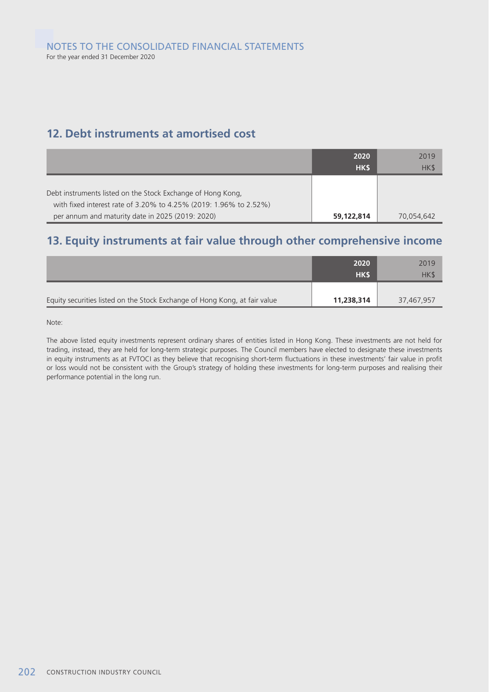# **12. Debt instruments at amortised cost**

|                                                                                                                                  | 2020<br>HK\$ | 2019<br>HK\$ |
|----------------------------------------------------------------------------------------------------------------------------------|--------------|--------------|
| Debt instruments listed on the Stock Exchange of Hong Kong,<br>with fixed interest rate of 3.20% to 4.25% (2019: 1.96% to 2.52%) |              |              |
| per annum and maturity date in 2025 (2019: 2020)                                                                                 | 59,122,814   | 70,054,642   |

# **13. Equity instruments at fair value through other comprehensive income**

|                                                                            | 2020<br>HKS | 2019<br>HK\$ |
|----------------------------------------------------------------------------|-------------|--------------|
| Equity securities listed on the Stock Exchange of Hong Kong, at fair value | 11,238,314  | 37,467,957   |

Note:

The above listed equity investments represent ordinary shares of entities listed in Hong Kong. These investments are not held for trading, instead, they are held for long-term strategic purposes. The Council members have elected to designate these investments in equity instruments as at FVTOCI as they believe that recognising short-term fluctuations in these investments' fair value in profit or loss would not be consistent with the Group's strategy of holding these investments for long-term purposes and realising their performance potential in the long run.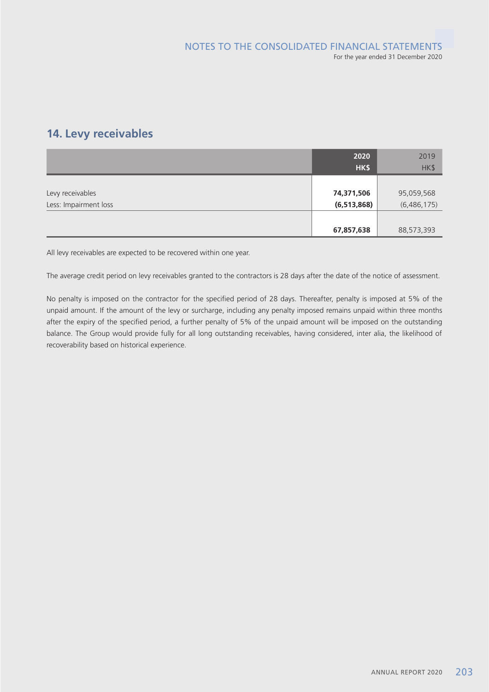# **14. Levy receivables**

|                       | 2020          | 2019        |
|-----------------------|---------------|-------------|
|                       | HK\$          | HK\$        |
|                       |               |             |
| Levy receivables      | 74,371,506    | 95,059,568  |
| Less: Impairment loss | (6, 513, 868) | (6,486,175) |
|                       |               |             |
|                       | 67,857,638    | 88,573,393  |

All levy receivables are expected to be recovered within one year.

The average credit period on levy receivables granted to the contractors is 28 days after the date of the notice of assessment.

No penalty is imposed on the contractor for the specified period of 28 days. Thereafter, penalty is imposed at 5% of the unpaid amount. If the amount of the levy or surcharge, including any penalty imposed remains unpaid within three months after the expiry of the specified period, a further penalty of 5% of the unpaid amount will be imposed on the outstanding balance. The Group would provide fully for all long outstanding receivables, having considered, inter alia, the likelihood of recoverability based on historical experience.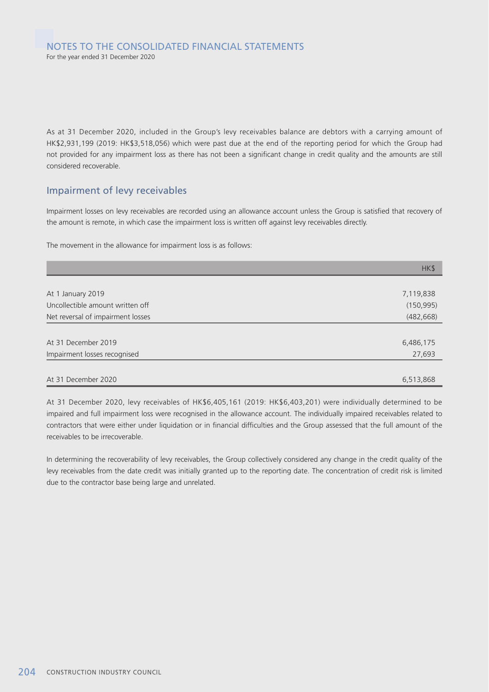As at 31 December 2020, included in the Group's levy receivables balance are debtors with a carrying amount of HK\$2,931,199 (2019: HK\$3,518,056) which were past due at the end of the reporting period for which the Group had not provided for any impairment loss as there has not been a significant change in credit quality and the amounts are still considered recoverable.

### Impairment of levy receivables

Impairment losses on levy receivables are recorded using an allowance account unless the Group is satisfied that recovery of the amount is remote, in which case the impairment loss is written off against levy receivables directly.

The movement in the allowance for impairment loss is as follows:

|                                   | HK\$       |
|-----------------------------------|------------|
|                                   |            |
| At 1 January 2019                 | 7,119,838  |
| Uncollectible amount written off  | (150, 995) |
| Net reversal of impairment losses | (482, 668) |
|                                   |            |
| At 31 December 2019               | 6,486,175  |
| Impairment losses recognised      | 27,693     |
|                                   |            |
| At 31 December 2020               | 6,513,868  |

At 31 December 2020, levy receivables of HK\$6,405,161 (2019: HK\$6,403,201) were individually determined to be impaired and full impairment loss were recognised in the allowance account. The individually impaired receivables related to contractors that were either under liquidation or in financial difficulties and the Group assessed that the full amount of the receivables to be irrecoverable.

In determining the recoverability of levy receivables, the Group collectively considered any change in the credit quality of the levy receivables from the date credit was initially granted up to the reporting date. The concentration of credit risk is limited due to the contractor base being large and unrelated.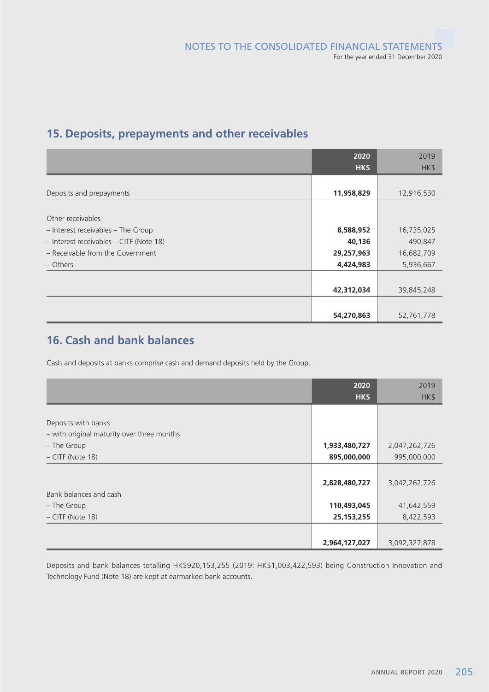# **15. Deposits, prepayments and other receivables**

|                                         | 2020       | 2019       |
|-----------------------------------------|------------|------------|
|                                         | HK\$       | HK\$       |
|                                         |            |            |
| Deposits and prepayments                | 11,958,829 | 12,916,530 |
|                                         |            |            |
| Other receivables                       |            |            |
| - Interest receivables - The Group      | 8,588,952  | 16,735,025 |
| - Interest receivables - CITF (Note 18) | 40,136     | 490,847    |
| - Receivable from the Government        | 29,257,963 | 16,682,709 |
| – Others                                | 4,424,983  | 5,936,667  |
|                                         |            |            |
|                                         | 42,312,034 | 39,845,248 |
|                                         |            |            |
|                                         | 54,270,863 | 52,761,778 |

# **16. Cash and bank balances**

Cash and deposits at banks comprise cash and demand deposits held by the Group.

|                                            | 2020          | 2019          |
|--------------------------------------------|---------------|---------------|
|                                            | HK\$          | HK\$          |
|                                            |               |               |
| Deposits with banks                        |               |               |
| - with original maturity over three months |               |               |
| - The Group                                | 1,933,480,727 | 2,047,262,726 |
| $-$ CITF (Note 18)                         | 895,000,000   | 995,000,000   |
|                                            |               |               |
|                                            | 2,828,480,727 | 3,042,262,726 |
| Bank balances and cash                     |               |               |
| - The Group                                | 110,493,045   | 41,642,559    |
| $-$ CITF (Note 18)                         | 25, 153, 255  | 8,422,593     |
|                                            |               |               |
|                                            | 2,964,127,027 | 3,092,327,878 |

Deposits and bank balances totalling HK\$920,153,255 (2019: HK\$1,003,422,593) being Construction Innovation and Technology Fund (Note 18) are kept at earmarked bank accounts.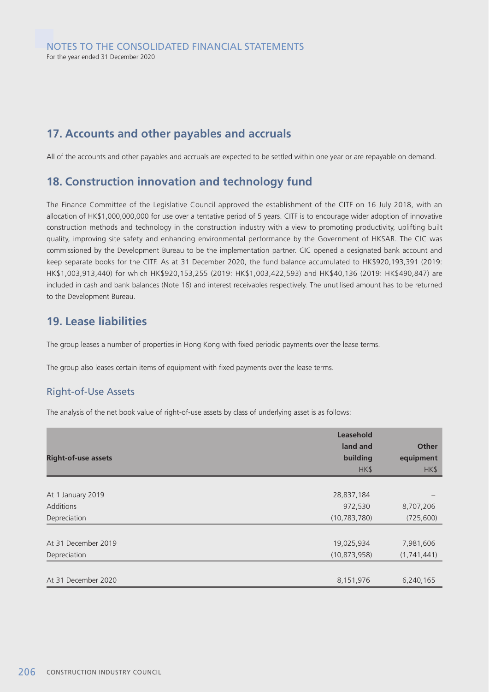## **17. Accounts and other payables and accruals**

All of the accounts and other payables and accruals are expected to be settled within one year or are repayable on demand.

# **18. Construction innovation and technology fund**

The Finance Committee of the Legislative Council approved the establishment of the CITF on 16 July 2018, with an allocation of HK\$1,000,000,000 for use over a tentative period of 5 years. CITF is to encourage wider adoption of innovative construction methods and technology in the construction industry with a view to promoting productivity, uplifting built quality, improving site safety and enhancing environmental performance by the Government of HKSAR. The CIC was commissioned by the Development Bureau to be the implementation partner. CIC opened a designated bank account and keep separate books for the CITF. As at 31 December 2020, the fund balance accumulated to HK\$920,193,391 (2019: HK\$1,003,913,440) for which HK\$920,153,255 (2019: HK\$1,003,422,593) and HK\$40,136 (2019: HK\$490,847) are included in cash and bank balances (Note 16) and interest receivables respectively. The unutilised amount has to be returned to the Development Bureau.

# **19. Lease liabilities**

The group leases a number of properties in Hong Kong with fixed periodic payments over the lease terms.

The group also leases certain items of equipment with fixed payments over the lease terms.

### Right-of-Use Assets

The analysis of the net book value of right-of-use assets by class of underlying asset is as follows:

| <b>Right-of-use assets</b> | Leasehold<br>land and<br>building<br>HK\$ | <b>Other</b><br>equipment<br>HK\$ |
|----------------------------|-------------------------------------------|-----------------------------------|
|                            |                                           |                                   |
| At 1 January 2019          | 28,837,184                                |                                   |
| <b>Additions</b>           | 972,530                                   | 8,707,206                         |
| Depreciation               | (10, 783, 780)                            | (725,600)                         |
|                            |                                           |                                   |
| At 31 December 2019        | 19,025,934                                | 7,981,606                         |
| Depreciation               | (10, 873, 958)                            | (1,741,441)                       |
|                            |                                           |                                   |
| At 31 December 2020        | 8,151,976                                 | 6,240,165                         |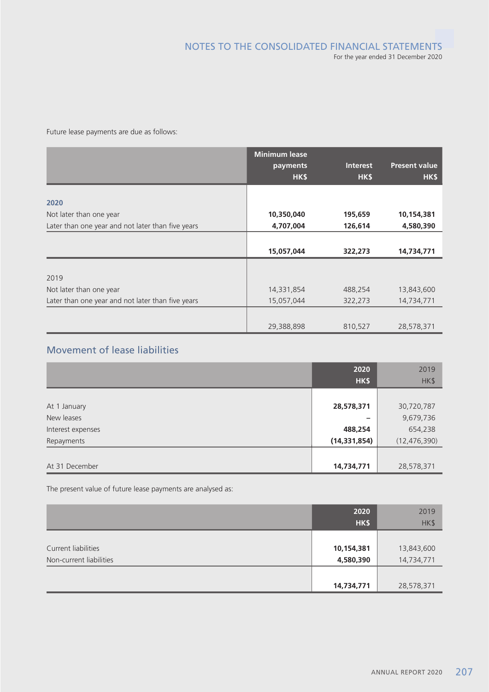Future lease payments are due as follows:

|                                                   | <b>Minimum lease</b> |            |                      |
|---------------------------------------------------|----------------------|------------|----------------------|
|                                                   | payments             | Interest   | <b>Present value</b> |
|                                                   | HK\$                 | <b>HKS</b> | HK\$                 |
|                                                   |                      |            |                      |
| 2020                                              |                      |            |                      |
| Not later than one year                           | 10,350,040           | 195,659    | 10,154,381           |
| Later than one year and not later than five years | 4,707,004            | 126,614    | 4,580,390            |
|                                                   |                      |            |                      |
|                                                   | 15,057,044           | 322,273    | 14,734,771           |
|                                                   |                      |            |                      |
| 2019                                              |                      |            |                      |
| Not later than one year                           | 14,331,854           | 488,254    | 13,843,600           |
| Later than one year and not later than five years | 15,057,044           | 322,273    | 14,734,771           |
|                                                   |                      |            |                      |
|                                                   | 29,388,898           | 810,527    | 28,578,371           |

# Movement of lease liabilities

|                   | 2020           | 2019           |
|-------------------|----------------|----------------|
|                   | HK\$           | HK\$           |
|                   |                |                |
| At 1 January      | 28,578,371     | 30,720,787     |
| New leases        | -              | 9,679,736      |
| Interest expenses | 488,254        | 654,238        |
| Repayments        | (14, 331, 854) | (12, 476, 390) |
|                   |                |                |
| At 31 December    | 14,734,771     | 28,578,371     |

The present value of future lease payments are analysed as:

|                                                | 2020<br>HK\$            | 2019<br>HK\$             |
|------------------------------------------------|-------------------------|--------------------------|
| Current liabilities<br>Non-current liabilities | 10,154,381<br>4,580,390 | 13,843,600<br>14,734,771 |
|                                                | 14,734,771              | 28,578,371               |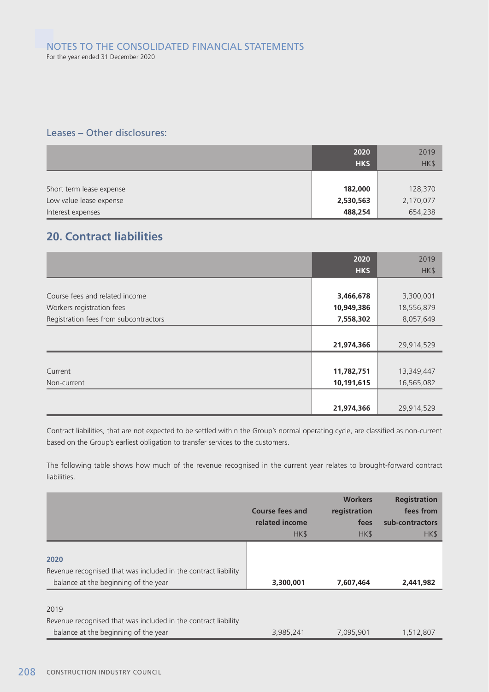## Leases – Other disclosures:

|                          | 2020<br>HK\$ | 2019<br>HK\$ |
|--------------------------|--------------|--------------|
|                          |              |              |
| Short term lease expense | 182,000      | 128,370      |
| Low value lease expense  | 2,530,563    | 2,170,077    |
| Interest expenses        | 488,254      | 654,238      |

# **20. Contract liabilities**

|                                       | 2020       | 2019       |
|---------------------------------------|------------|------------|
|                                       | HK\$       | HK\$       |
|                                       |            |            |
| Course fees and related income        | 3,466,678  | 3,300,001  |
| Workers registration fees             | 10,949,386 | 18,556,879 |
| Registration fees from subcontractors | 7,558,302  | 8,057,649  |
|                                       |            |            |
|                                       | 21,974,366 | 29,914,529 |
|                                       |            |            |
| Current                               | 11,782,751 | 13,349,447 |
| Non-current                           | 10,191,615 | 16,565,082 |
|                                       |            |            |
|                                       | 21,974,366 | 29,914,529 |

Contract liabilities, that are not expected to be settled within the Group's normal operating cycle, are classified as non-current based on the Group's earliest obligation to transfer services to the customers.

The following table shows how much of the revenue recognised in the current year relates to brought-forward contract liabilities.

|                                                                                                                | <b>Course fees and</b><br>related income<br>HK\$ | <b>Workers</b><br>registration<br>fees<br>HK\$ | <b>Registration</b><br>fees from<br>sub-contractors<br>HK\$ |
|----------------------------------------------------------------------------------------------------------------|--------------------------------------------------|------------------------------------------------|-------------------------------------------------------------|
| 2020                                                                                                           |                                                  |                                                |                                                             |
| Revenue recognised that was included in the contract liability<br>balance at the beginning of the year         | 3,300,001                                        | 7,607,464                                      | 2,441,982                                                   |
| 2019<br>Revenue recognised that was included in the contract liability<br>balance at the beginning of the year | 3,985,241                                        | 7,095,901                                      | 1,512,807                                                   |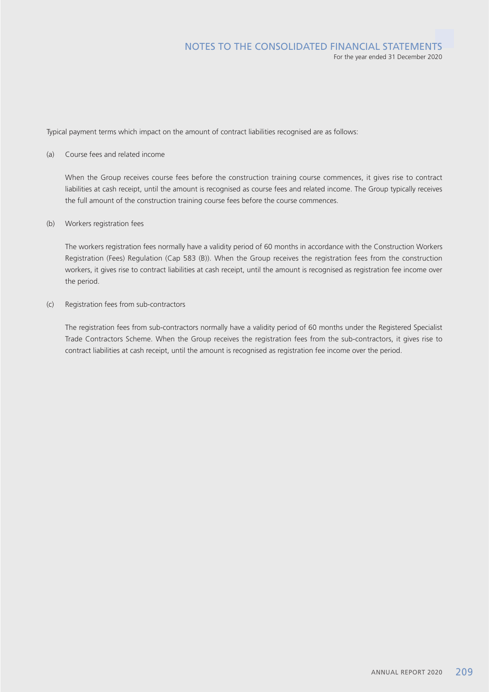Typical payment terms which impact on the amount of contract liabilities recognised are as follows:

#### (a) Course fees and related income

When the Group receives course fees before the construction training course commences, it gives rise to contract liabilities at cash receipt, until the amount is recognised as course fees and related income. The Group typically receives the full amount of the construction training course fees before the course commences.

#### (b) Workers registration fees

The workers registration fees normally have a validity period of 60 months in accordance with the Construction Workers Registration (Fees) Regulation (Cap 583 (B)). When the Group receives the registration fees from the construction workers, it gives rise to contract liabilities at cash receipt, until the amount is recognised as registration fee income over the period.

#### (c) Registration fees from sub-contractors

The registration fees from sub-contractors normally have a validity period of 60 months under the Registered Specialist Trade Contractors Scheme. When the Group receives the registration fees from the sub-contractors, it gives rise to contract liabilities at cash receipt, until the amount is recognised as registration fee income over the period.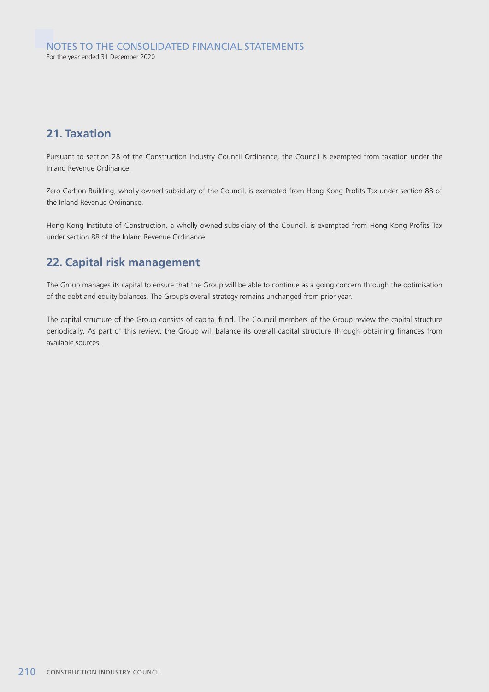# **21. Taxation**

Pursuant to section 28 of the Construction Industry Council Ordinance, the Council is exempted from taxation under the Inland Revenue Ordinance.

Zero Carbon Building, wholly owned subsidiary of the Council, is exempted from Hong Kong Profits Tax under section 88 of the Inland Revenue Ordinance.

Hong Kong Institute of Construction, a wholly owned subsidiary of the Council, is exempted from Hong Kong Profits Tax under section 88 of the Inland Revenue Ordinance.

# **22. Capital risk management**

The Group manages its capital to ensure that the Group will be able to continue as a going concern through the optimisation of the debt and equity balances. The Group's overall strategy remains unchanged from prior year.

The capital structure of the Group consists of capital fund. The Council members of the Group review the capital structure periodically. As part of this review, the Group will balance its overall capital structure through obtaining finances from available sources.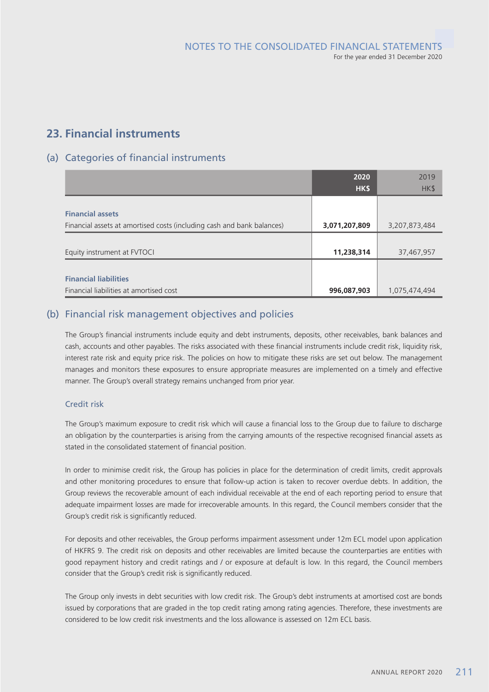# **23. Financial instruments**

## (a) Categories of financial instruments

|                                                                        | 2020          | 2019          |
|------------------------------------------------------------------------|---------------|---------------|
|                                                                        | HK\$          | HK\$          |
|                                                                        |               |               |
| <b>Financial assets</b>                                                |               |               |
| Financial assets at amortised costs (including cash and bank balances) | 3,071,207,809 | 3,207,873,484 |
|                                                                        |               |               |
| Equity instrument at FVTOCI                                            | 11,238,314    | 37,467,957    |
|                                                                        |               |               |
| <b>Financial liabilities</b>                                           |               |               |
| Financial liabilities at amortised cost                                | 996,087,903   | 1,075,474,494 |

### (b) Financial risk management objectives and policies

The Group's financial instruments include equity and debt instruments, deposits, other receivables, bank balances and cash, accounts and other payables. The risks associated with these financial instruments include credit risk, liquidity risk, interest rate risk and equity price risk. The policies on how to mitigate these risks are set out below. The management manages and monitors these exposures to ensure appropriate measures are implemented on a timely and effective manner. The Group's overall strategy remains unchanged from prior year.

### Credit risk

The Group's maximum exposure to credit risk which will cause a financial loss to the Group due to failure to discharge an obligation by the counterparties is arising from the carrying amounts of the respective recognised financial assets as stated in the consolidated statement of financial position.

In order to minimise credit risk, the Group has policies in place for the determination of credit limits, credit approvals and other monitoring procedures to ensure that follow-up action is taken to recover overdue debts. In addition, the Group reviews the recoverable amount of each individual receivable at the end of each reporting period to ensure that adequate impairment losses are made for irrecoverable amounts. In this regard, the Council members consider that the Group's credit risk is significantly reduced.

For deposits and other receivables, the Group performs impairment assessment under 12m ECL model upon application of HKFRS 9. The credit risk on deposits and other receivables are limited because the counterparties are entities with good repayment history and credit ratings and / or exposure at default is low. In this regard, the Council members consider that the Group's credit risk is significantly reduced.

The Group only invests in debt securities with low credit risk. The Group's debt instruments at amortised cost are bonds issued by corporations that are graded in the top credit rating among rating agencies. Therefore, these investments are considered to be low credit risk investments and the loss allowance is assessed on 12m ECL basis.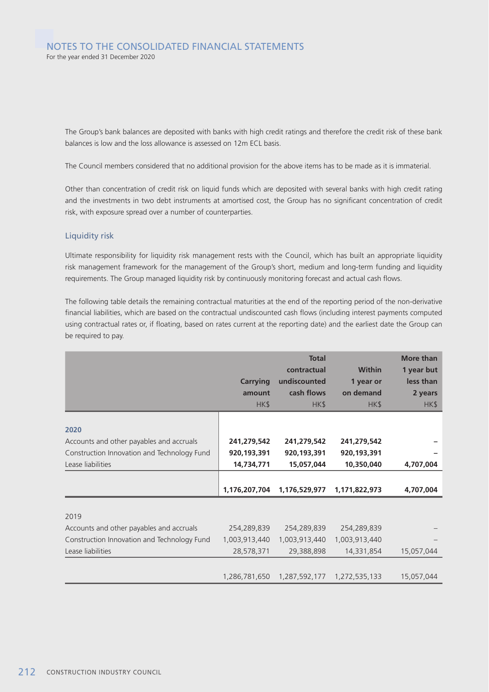The Group's bank balances are deposited with banks with high credit ratings and therefore the credit risk of these bank balances is low and the loss allowance is assessed on 12m ECL basis.

The Council members considered that no additional provision for the above items has to be made as it is immaterial.

Other than concentration of credit risk on liquid funds which are deposited with several banks with high credit rating and the investments in two debt instruments at amortised cost, the Group has no significant concentration of credit risk, with exposure spread over a number of counterparties.

#### Liquidity risk

Ultimate responsibility for liquidity risk management rests with the Council, which has built an appropriate liquidity risk management framework for the management of the Group's short, medium and long-term funding and liquidity requirements. The Group managed liquidity risk by continuously monitoring forecast and actual cash flows.

The following table details the remaining contractual maturities at the end of the reporting period of the non-derivative financial liabilities, which are based on the contractual undiscounted cash flows (including interest payments computed using contractual rates or, if floating, based on rates current at the reporting date) and the earliest date the Group can be required to pay.

|                                                                                                                      | <b>Carrying</b><br>amount<br>HK\$        | <b>Total</b><br>contractual<br>undiscounted<br>cash flows<br>HK\$ | <b>Within</b><br>1 year or<br>on demand<br>HK\$ | <b>More than</b><br>1 year but<br>less than<br>2 years<br>HK\$ |
|----------------------------------------------------------------------------------------------------------------------|------------------------------------------|-------------------------------------------------------------------|-------------------------------------------------|----------------------------------------------------------------|
| 2020<br>Accounts and other payables and accruals<br>Construction Innovation and Technology Fund<br>Lease liabilities | 241,279,542<br>920,193,391<br>14,734,771 | 241,279,542<br>920,193,391<br>15,057,044                          | 241,279,542<br>920,193,391<br>10,350,040        | 4,707,004                                                      |
|                                                                                                                      | 1,176,207,704                            | 1,176,529,977                                                     | 1,171,822,973                                   | 4,707,004                                                      |
| 2019<br>Accounts and other payables and accruals                                                                     | 254,289,839                              | 254,289,839                                                       | 254,289,839                                     |                                                                |
| Construction Innovation and Technology Fund<br>Lease liabilities                                                     | 1,003,913,440<br>28,578,371              | 1,003,913,440<br>29,388,898                                       | 1,003,913,440<br>14,331,854                     | 15,057,044                                                     |
|                                                                                                                      | 1,286,781,650                            | 1,287,592,177                                                     | 1,272,535,133                                   | 15,057,044                                                     |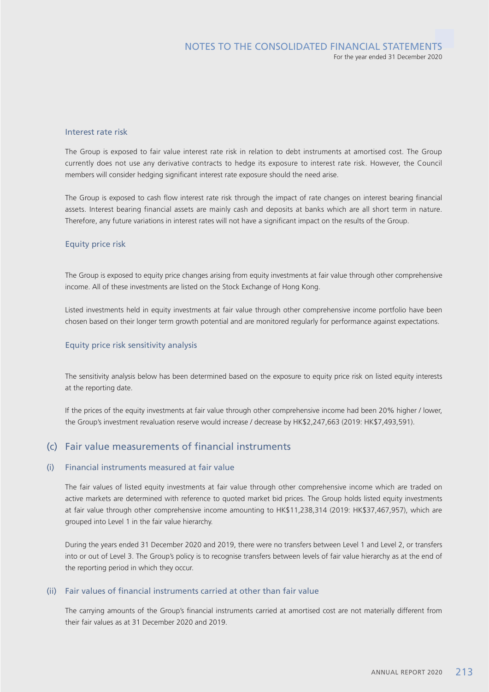#### Interest rate risk

The Group is exposed to fair value interest rate risk in relation to debt instruments at amortised cost. The Group currently does not use any derivative contracts to hedge its exposure to interest rate risk. However, the Council members will consider hedging significant interest rate exposure should the need arise.

The Group is exposed to cash flow interest rate risk through the impact of rate changes on interest bearing financial assets. Interest bearing financial assets are mainly cash and deposits at banks which are all short term in nature. Therefore, any future variations in interest rates will not have a significant impact on the results of the Group.

#### Equity price risk

The Group is exposed to equity price changes arising from equity investments at fair value through other comprehensive income. All of these investments are listed on the Stock Exchange of Hong Kong.

Listed investments held in equity investments at fair value through other comprehensive income portfolio have been chosen based on their longer term growth potential and are monitored regularly for performance against expectations.

#### Equity price risk sensitivity analysis

The sensitivity analysis below has been determined based on the exposure to equity price risk on listed equity interests at the reporting date.

If the prices of the equity investments at fair value through other comprehensive income had been 20% higher / lower, the Group's investment revaluation reserve would increase / decrease by HK\$2,247,663 (2019: HK\$7,493,591).

### (c) Fair value measurements of financial instruments

#### (i) Financial instruments measured at fair value

The fair values of listed equity investments at fair value through other comprehensive income which are traded on active markets are determined with reference to quoted market bid prices. The Group holds listed equity investments at fair value through other comprehensive income amounting to HK\$11,238,314 (2019: HK\$37,467,957), which are grouped into Level 1 in the fair value hierarchy.

During the years ended 31 December 2020 and 2019, there were no transfers between Level 1 and Level 2, or transfers into or out of Level 3. The Group's policy is to recognise transfers between levels of fair value hierarchy as at the end of the reporting period in which they occur.

### (ii) Fair values of financial instruments carried at other than fair value

The carrying amounts of the Group's financial instruments carried at amortised cost are not materially different from their fair values as at 31 December 2020 and 2019.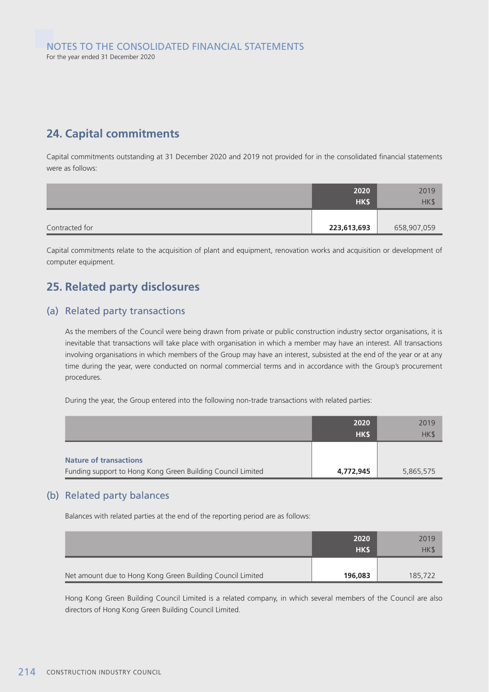# **24. Capital commitments**

Capital commitments outstanding at 31 December 2020 and 2019 not provided for in the consolidated financial statements were as follows:

|                | 2020        | 2019        |
|----------------|-------------|-------------|
|                | HK\$        | HK\$        |
|                |             |             |
| Contracted for | 223,613,693 | 658,907,059 |

Capital commitments relate to the acquisition of plant and equipment, renovation works and acquisition or development of computer equipment.

# **25. Related party disclosures**

### (a) Related party transactions

As the members of the Council were being drawn from private or public construction industry sector organisations, it is inevitable that transactions will take place with organisation in which a member may have an interest. All transactions involving organisations in which members of the Group may have an interest, subsisted at the end of the year or at any time during the year, were conducted on normal commercial terms and in accordance with the Group's procurement procedures.

During the year, the Group entered into the following non-trade transactions with related parties:

|                                                             | 2020       | 2019      |
|-------------------------------------------------------------|------------|-----------|
|                                                             | <b>HKS</b> | HK\$      |
|                                                             |            |           |
| <b>Nature of transactions</b>                               |            |           |
| Funding support to Hong Kong Green Building Council Limited | 4,772,945  | 5,865,575 |

### (b) Related party balances

Balances with related parties at the end of the reporting period are as follows:

|                                                            | 2020       | 2019    |
|------------------------------------------------------------|------------|---------|
|                                                            | <b>HKS</b> | HK\$    |
|                                                            |            |         |
| Net amount due to Hong Kong Green Building Council Limited | 196,083    | 185,722 |

Hong Kong Green Building Council Limited is a related company, in which several members of the Council are also directors of Hong Kong Green Building Council Limited.